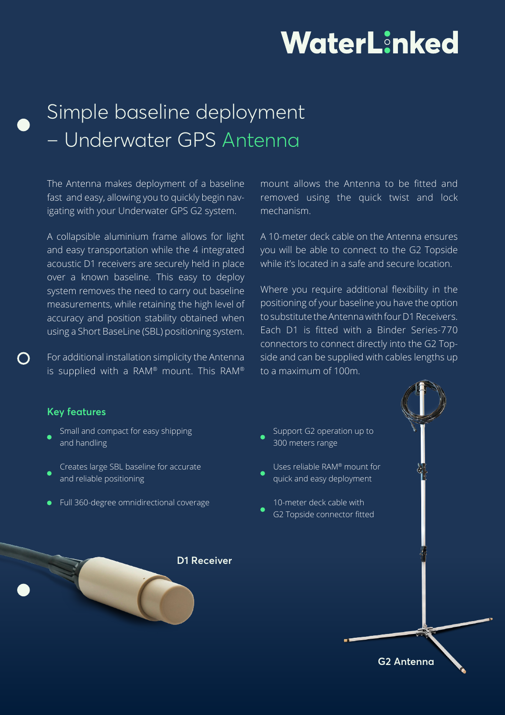# WaterLinked

# Simple baseline deployment – Underwater GPS Antenna

The Antenna makes deployment of a baseline fast and easy, allowing you to quickly begin navigating with your Underwater GPS G2 system.

A collapsible aluminium frame allows for light and easy transportation while the 4 integrated acoustic D1 receivers are securely held in place over a known baseline. This easy to deploy system removes the need to carry out baseline measurements, while retaining the high level of accuracy and position stability obtained when using a Short BaseLine (SBL) positioning system.

For additional installation simplicity the Antenna is supplied with a RAM® mount. This RAM®

mount allows the Antenna to be fitted and removed using the quick twist and lock mechanism.

A 10-meter deck cable on the Antenna ensures you will be able to connect to the G2 Topside while it's located in a safe and secure location.

Where you require additional flexibility in the positioning of your baseline you have the option to substitute the Antenna with four D1 Receivers. Each D1 is fitted with a Binder Series-770 connectors to connect directly into the G2 Topside and can be supplied with cables lengths up to a maximum of 100m.

#### **Key features**

- Small and compact for easy shipping and handling
- Creates large SBL baseline for accurate and reliable positioning
- Full 360-degree omnidirectional coverage

**D1 Receiver**

Support G2 operation up to 300 meters range Uses reliable RAM® mount for quick and easy deployment

10-meter deck cable with G2 Topside connector fitted

**G2 Antenna**